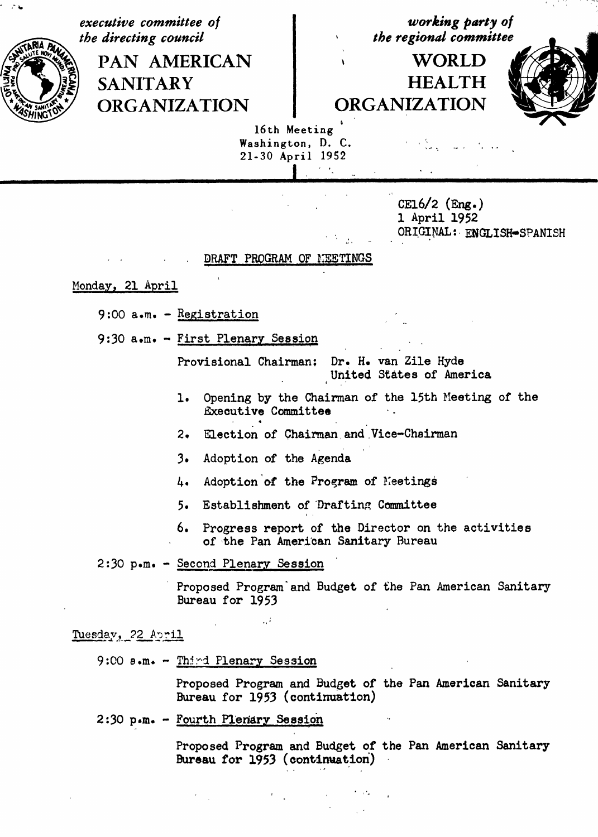executive committee of the directing council

> **PAN AMERICAN SANITARY ORGANIZATION**

working party of the regional committee

# **WORLD HEALTH ORGANIZATION**



16th Meeting Washington, D. C. 21-30 April 1952

> CE16/2  $(Eng.)$ 1 April 1952 ORIGINAL: ENGLISH-SPANISH

### DRAFT PROGRAM OF MEETINGS

## Monday, 21 April

9:00  $a.m. - Registeration$ 

9:30 a.m. - First Plenary Session

Provisional Chairman: Dr. H. van Zile Hyde United States of America

- Opening by the Chairman of the 15th Meeting of the 1. **Executive Committee**
- Election of Chairman and Vice-Chairman  $2.$
- $3.$ Adoption of the Agenda

 $\rightarrow i$ 

- Adoption of the Program of Meetings 4.
- 5. Establishment of Drafting Committee
- 6. Progress report of the Director on the activities of the Pan American Sanitary Bureau

## 2:30 p.m. - Second Plenary Session

Proposed Program and Budget of the Pan American Sanitary Bureau for 1953

Tuesday, 22 April

9:00 a.m. - Third Plenary Session

Proposed Program and Budget of the Pan American Sanitary Bureau for 1953 (continuation)

# 2:30 p.m. - Fourth Plenary Session

Proposed Program and Budget of the Pan American Sanitary Bureau for 1953 (continuation)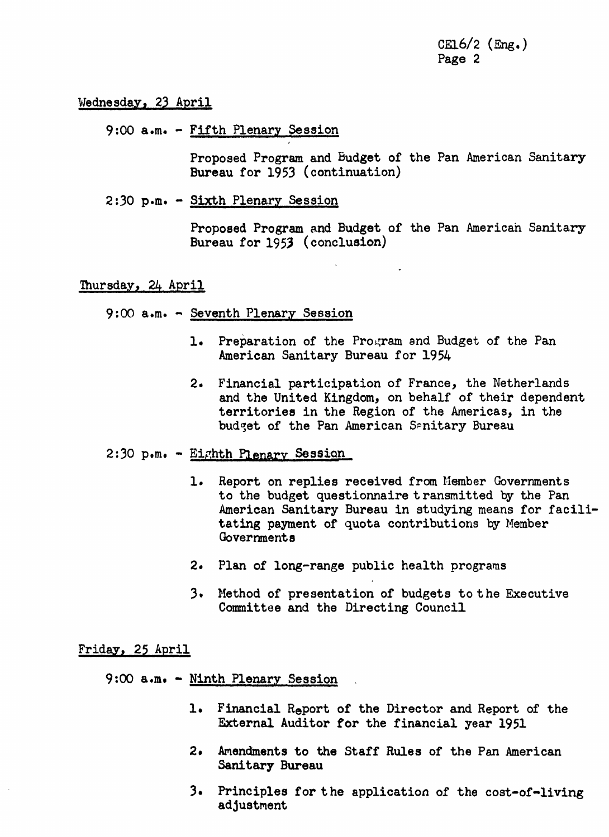cm6**/**2(Eng.) Page 2

Wednesday, 23 April

9:00 a.m. - Fifth Plenary Session

Proposed Program and Budget of the Pan American Sanitary Bureau for 1953 (continuation)

2:30 p.m. - Sixth Plenary Session

Proposed Program and Budget of the Pan American Sanitary Bureau for 1955 (conclusion)

Thursday, 2& April

9:00 a.m. - Seventh Plenary Session

- 1. Preparation of the Program and Budget of the Pan American Sanitary Bureau for 195&
- 2. Financial participation of France, the Netherlands and the United Kingdom, on behalf of their dependent territories in the Region of the Americas, in the budget of the Pan American Senitary Bureau

2:30 p.m. - Eighth Plenary Sessi**on** ....

- 1. Report on replies received from Member Governments to the budget questionnaire transmitted by the Pan American Sanitary Bureau in studying means for facilitating payment of quota contributions by Member Governments
- 2. Plan of long-range public health programs
- 3. Method of presentation of budgets to the Executive Committee and the Directing Council

Friday, 25 April

9:00 a.m. - Ninth Plenary Session

- 1. Financial Report of the Director a**n**d Report of the External Auditor for the financial year 1951
- 2. Amendments to the Staff Rules of the Pan American Sanitary Bureau
- 3. Principles for the application of the cost-of-living adjustment